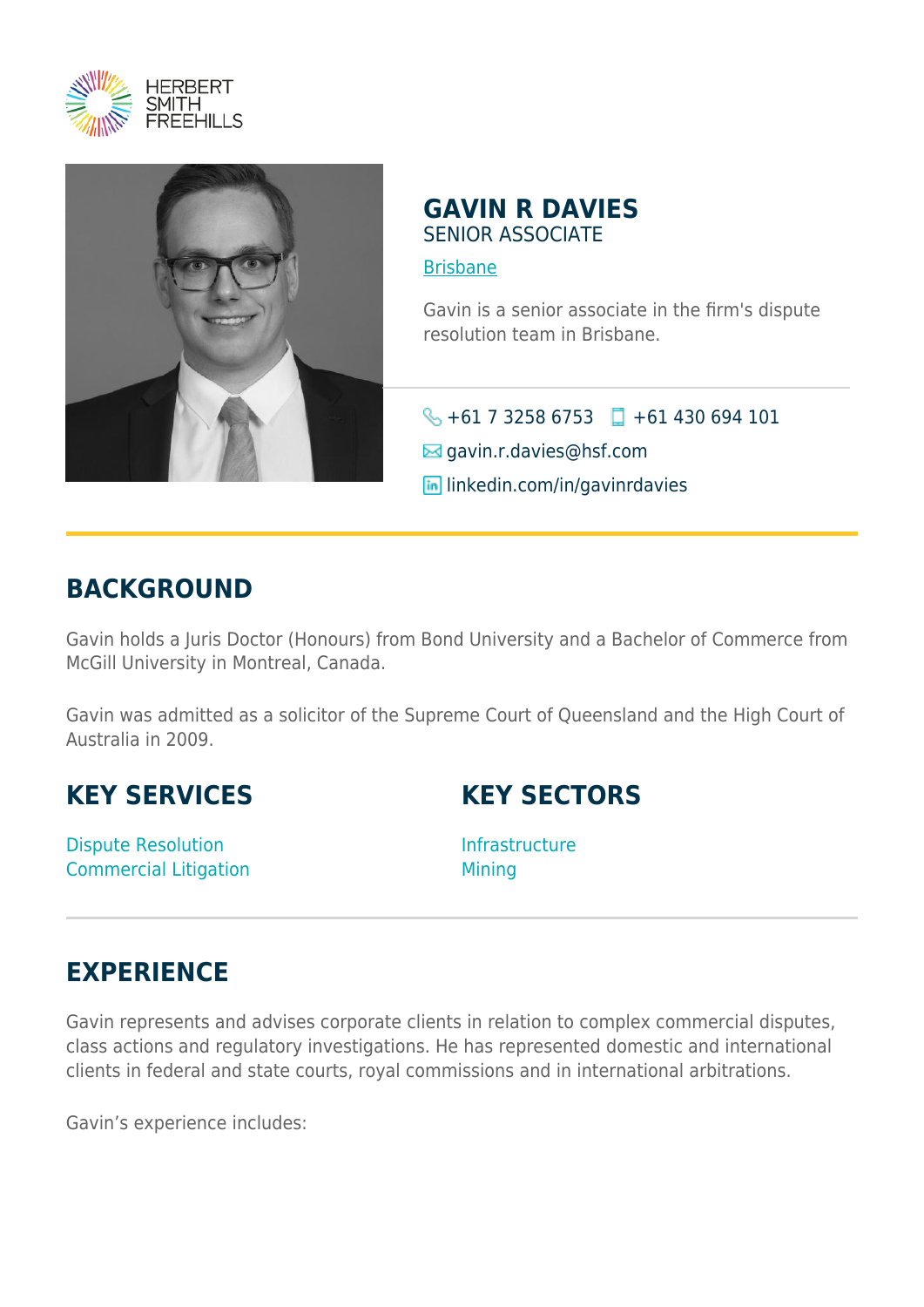



### **GAVIN R DAVIES** SENIOR ASSOCIATE

#### [Brisbane](https://www.herbertsmithfreehills.com/where-we-work/brisbane)

Gavin is a senior associate in the firm's dispute resolution team in Brisbane.

#### $\bigodot$  +61 7 3258 6753 +61 430 694 101

 $\boxtimes$  gavin.r.davies@hsf.com

**in** linkedin.com/in/gavinrdavies

### **BACKGROUND**

Gavin holds a Juris Doctor (Honours) from Bond University and a Bachelor of Commerce from McGill University in Montreal, Canada.

Gavin was admitted as a solicitor of the Supreme Court of Queensland and the High Court of Australia in 2009.

## **KEY SERVICES**

Dispute Resolution Commercial Litigation



Infrastructure **Mining** 

# **EXPERIENCE**

Gavin represents and advises corporate clients in relation to complex commercial disputes, class actions and regulatory investigations. He has represented domestic and international clients in federal and state courts, royal commissions and in international arbitrations.

Gavin's experience includes: